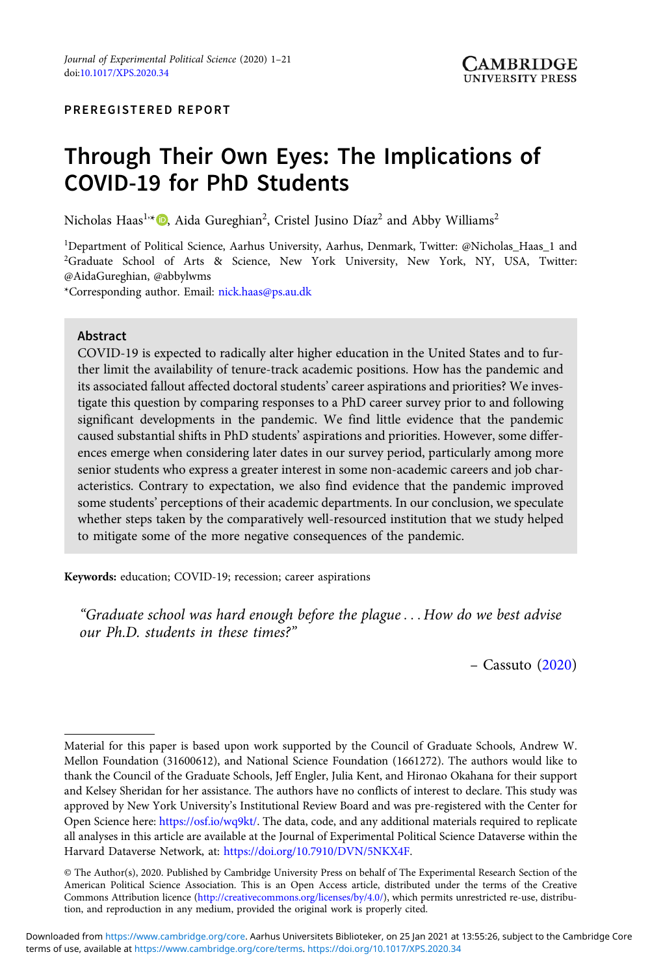# Through Their Own Eyes: The Implications of COVID-19 for PhD Students

Nicholas Haas<sup>1,</sup>\* (D, Aida Gureghian<sup>2</sup>, Cristel Jusino Díaz<sup>2</sup> and Abby Williams<sup>2</sup>

1 Department of Political Science, Aarhus University, Aarhus, Denmark, Twitter: @Nicholas\_Haas\_1 and 2 Graduate School of Arts & Science, New York University, New York, NY, USA, Twitter: @AidaGureghian, @abbylwms

\*Corresponding author. Email: [nick.haas@ps.au.dk](mailto:nick.haas@ps.au.dk)

#### Abstract

COVID-19 is expected to radically alter higher education in the United States and to further limit the availability of tenure-track academic positions. How has the pandemic and its associated fallout affected doctoral students' career aspirations and priorities? We investigate this question by comparing responses to a PhD career survey prior to and following significant developments in the pandemic. We find little evidence that the pandemic caused substantial shifts in PhD students' aspirations and priorities. However, some differences emerge when considering later dates in our survey period, particularly among more senior students who express a greater interest in some non-academic careers and job characteristics. Contrary to expectation, we also find evidence that the pandemic improved some students' perceptions of their academic departments. In our conclusion, we speculate whether steps taken by the comparatively well-resourced institution that we study helped to mitigate some of the more negative consequences of the pandemic.

Keywords: education; COVID-19; recession; career aspirations

"Graduate school was hard enough before the plague::: How do we best advise our Ph.D. students in these times?"

– Cassuto [\(2020\)](#page-19-0)

Material for this paper is based upon work supported by the Council of Graduate Schools, Andrew W. Mellon Foundation (31600612), and National Science Foundation (1661272). The authors would like to thank the Council of the Graduate Schools, Jeff Engler, Julia Kent, and Hironao Okahana for their support and Kelsey Sheridan for her assistance. The authors have no conflicts of interest to declare. This study was approved by New York University's Institutional Review Board and was pre-registered with the Center for Open Science here: <https://osf.io/wq9kt/>. The data, code, and any additional materials required to replicate all analyses in this article are available at the Journal of Experimental Political Science Dataverse within the Harvard Dataverse Network, at: [https://doi.org/10.7910/DVN/5NKX4F.](https://doi.org/10.7910/DVN/5NKX4F)

<sup>©</sup> The Author(s), 2020. Published by Cambridge University Press on behalf of The Experimental Research Section of the American Political Science Association. This is an Open Access article, distributed under the terms of the Creative Commons Attribution licence [\(http://creativecommons.org/licenses/by/4.0/](http://creativecommons.org/licenses/by/4.0/)), which permits unrestricted re-use, distribution, and reproduction in any medium, provided the original work is properly cited.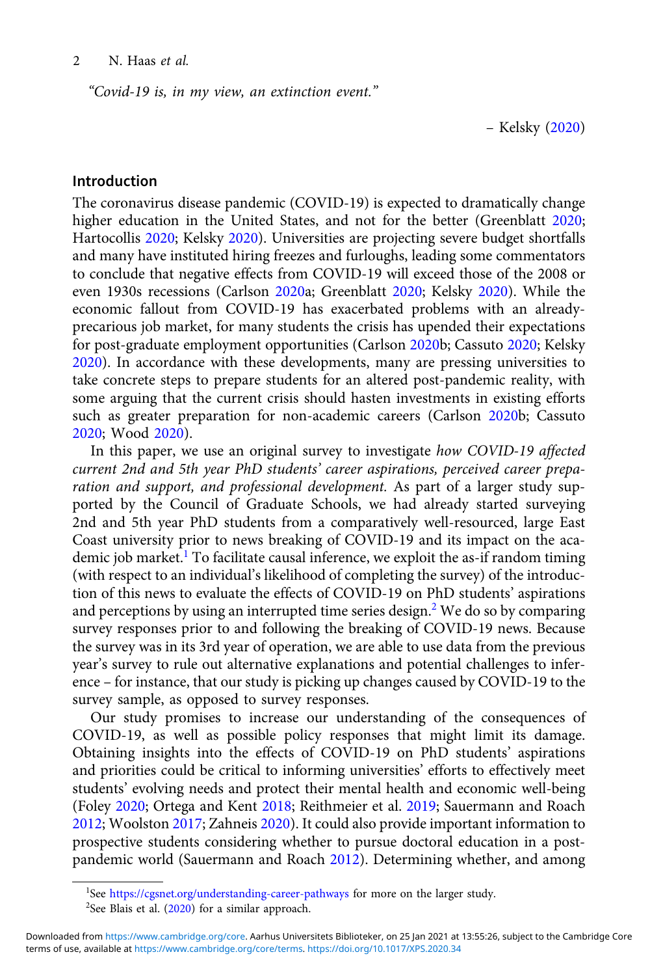#### 2 N. Haas et al.

"Covid-19 is, in my view, an extinction event."

# Introduction

The coronavirus disease pandemic (COVID-19) is expected to dramatically change higher education in the United States, and not for the better (Greenblatt [2020;](#page-19-0) Hartocollis [2020;](#page-19-0) Kelsky [2020](#page-19-0)). Universities are projecting severe budget shortfalls and many have instituted hiring freezes and furloughs, leading some commentators to conclude that negative effects from COVID-19 will exceed those of the 2008 or even 1930s recessions (Carlson [2020](#page-19-0)a; Greenblatt [2020;](#page-19-0) Kelsky [2020\)](#page-19-0). While the economic fallout from COVID-19 has exacerbated problems with an alreadyprecarious job market, for many students the crisis has upended their expectations for post-graduate employment opportunities (Carlson [2020](#page-19-0)b; Cassuto [2020;](#page-19-0) Kelsky [2020\)](#page-19-0). In accordance with these developments, many are pressing universities to take concrete steps to prepare students for an altered post-pandemic reality, with some arguing that the current crisis should hasten investments in existing efforts such as greater preparation for non-academic careers (Carlson [2020b](#page-19-0); Cassuto [2020;](#page-19-0) Wood [2020\)](#page-20-0).

In this paper, we use an original survey to investigate how COVID-19 affected current 2nd and 5th year PhD students' career aspirations, perceived career preparation and support, and professional development. As part of a larger study supported by the Council of Graduate Schools, we had already started surveying 2nd and 5th year PhD students from a comparatively well-resourced, large East Coast university prior to news breaking of COVID-19 and its impact on the academic job market.<sup>1</sup> To facilitate causal inference, we exploit the as-if random timing (with respect to an individual's likelihood of completing the survey) of the introduction of this news to evaluate the effects of COVID-19 on PhD students' aspirations and perceptions by using an interrupted time series design.<sup>2</sup> We do so by comparing survey responses prior to and following the breaking of COVID-19 news. Because the survey was in its 3rd year of operation, we are able to use data from the previous year's survey to rule out alternative explanations and potential challenges to inference – for instance, that our study is picking up changes caused by COVID-19 to the survey sample, as opposed to survey responses.

Our study promises to increase our understanding of the consequences of COVID-19, as well as possible policy responses that might limit its damage. Obtaining insights into the effects of COVID-19 on PhD students' aspirations and priorities could be critical to informing universities' efforts to effectively meet students' evolving needs and protect their mental health and economic well-being (Foley [2020](#page-19-0); Ortega and Kent [2018](#page-19-0); Reithmeier et al. [2019](#page-19-0); Sauermann and Roach [2012;](#page-19-0) Woolston [2017](#page-20-0); Zahneis [2020](#page-20-0)). It could also provide important information to prospective students considering whether to pursue doctoral education in a postpandemic world (Sauermann and Roach [2012](#page-19-0)). Determining whether, and among

<sup>&</sup>lt;sup>1</sup>See <https://cgsnet.org/understanding-career-pathways> for more on the larger study.

<sup>&</sup>lt;sup>2</sup>See Blais et al. [\(2020\)](#page-19-0) for a similar approach.

terms of use, available at [https://www.cambridge.org/core/terms.](https://www.cambridge.org/core/terms) <https://doi.org/10.1017/XPS.2020.34> Downloaded from [https://www.cambridge.org/core.](https://www.cambridge.org/core) Aarhus Universitets Biblioteker, on 25 Jan 2021 at 13:55:26, subject to the Cambridge Core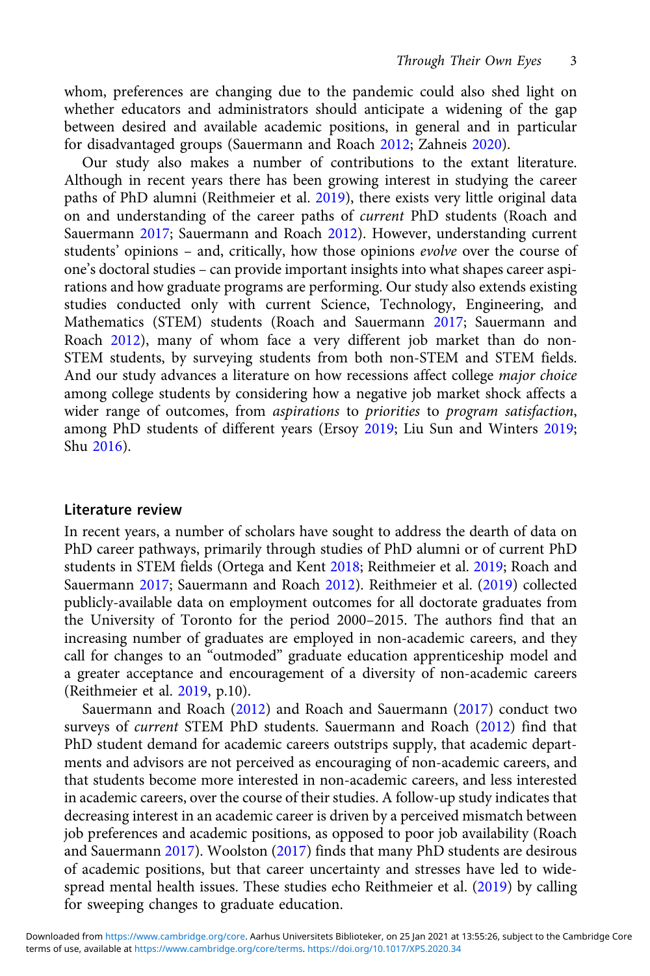whom, preferences are changing due to the pandemic could also shed light on whether educators and administrators should anticipate a widening of the gap between desired and available academic positions, in general and in particular for disadvantaged groups (Sauermann and Roach [2012;](#page-19-0) Zahneis [2020\)](#page-20-0).

Our study also makes a number of contributions to the extant literature. Although in recent years there has been growing interest in studying the career paths of PhD alumni (Reithmeier et al. [2019\)](#page-19-0), there exists very little original data on and understanding of the career paths of current PhD students (Roach and Sauermann [2017](#page-19-0); Sauermann and Roach [2012\)](#page-19-0). However, understanding current students' opinions – and, critically, how those opinions evolve over the course of one's doctoral studies – can provide important insights into what shapes career aspirations and how graduate programs are performing. Our study also extends existing studies conducted only with current Science, Technology, Engineering, and Mathematics (STEM) students (Roach and Sauermann [2017](#page-19-0); Sauermann and Roach [2012](#page-19-0)), many of whom face a very different job market than do non-STEM students, by surveying students from both non-STEM and STEM fields. And our study advances a literature on how recessions affect college *major choice* among college students by considering how a negative job market shock affects a wider range of outcomes, from *aspirations* to *priorities* to *program satisfaction*, among PhD students of different years (Ersoy [2019](#page-19-0); Liu Sun and Winters [2019](#page-19-0); Shu [2016](#page-19-0)).

#### Literature review

In recent years, a number of scholars have sought to address the dearth of data on PhD career pathways, primarily through studies of PhD alumni or of current PhD students in STEM fields (Ortega and Kent [2018;](#page-19-0) Reithmeier et al. [2019;](#page-19-0) Roach and Sauermann [2017](#page-19-0); Sauermann and Roach [2012](#page-19-0)). Reithmeier et al. [\(2019\)](#page-19-0) collected publicly-available data on employment outcomes for all doctorate graduates from the University of Toronto for the period 2000–2015. The authors find that an increasing number of graduates are employed in non-academic careers, and they call for changes to an "outmoded" graduate education apprenticeship model and a greater acceptance and encouragement of a diversity of non-academic careers (Reithmeier et al. [2019,](#page-19-0) p.10).

Sauermann and Roach [\(2012](#page-19-0)) and Roach and Sauermann ([2017\)](#page-19-0) conduct two surveys of current STEM PhD students. Sauermann and Roach ([2012](#page-19-0)) find that PhD student demand for academic careers outstrips supply, that academic departments and advisors are not perceived as encouraging of non-academic careers, and that students become more interested in non-academic careers, and less interested in academic careers, over the course of their studies. A follow-up study indicates that decreasing interest in an academic career is driven by a perceived mismatch between job preferences and academic positions, as opposed to poor job availability (Roach and Sauermann [2017\)](#page-19-0). Woolston [\(2017](#page-20-0)) finds that many PhD students are desirous of academic positions, but that career uncertainty and stresses have led to widespread mental health issues. These studies echo Reithmeier et al. [\(2019](#page-19-0)) by calling for sweeping changes to graduate education.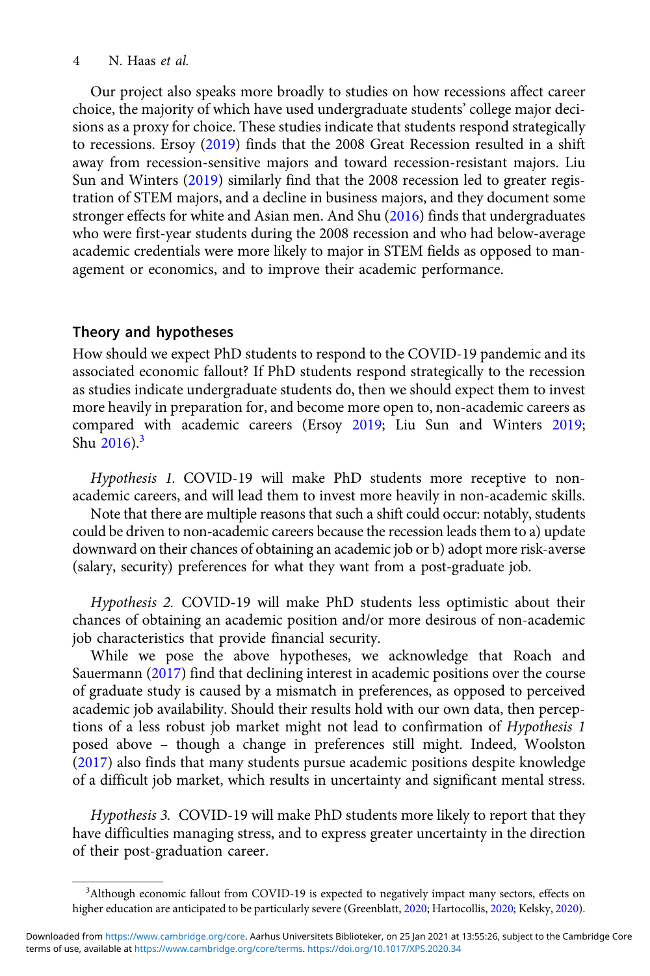#### 4 N. Haas et al.

Our project also speaks more broadly to studies on how recessions affect career choice, the majority of which have used undergraduate students' college major decisions as a proxy for choice. These studies indicate that students respond strategically to recessions. Ersoy [\(2019\)](#page-19-0) finds that the 2008 Great Recession resulted in a shift away from recession-sensitive majors and toward recession-resistant majors. Liu Sun and Winters ([2019](#page-19-0)) similarly find that the 2008 recession led to greater registration of STEM majors, and a decline in business majors, and they document some stronger effects for white and Asian men. And Shu [\(2016\)](#page-19-0) finds that undergraduates who were first-year students during the 2008 recession and who had below-average academic credentials were more likely to major in STEM fields as opposed to management or economics, and to improve their academic performance.

# Theory and hypotheses

How should we expect PhD students to respond to the COVID-19 pandemic and its associated economic fallout? If PhD students respond strategically to the recession as studies indicate undergraduate students do, then we should expect them to invest more heavily in preparation for, and become more open to, non-academic careers as compared with academic careers (Ersoy [2019](#page-19-0); Liu Sun and Winters [2019;](#page-19-0) Shu  $2016$ .<sup>3</sup>

Hypothesis 1. COVID-19 will make PhD students more receptive to nonacademic careers, and will lead them to invest more heavily in non-academic skills.

Note that there are multiple reasons that such a shift could occur: notably, students could be driven to non-academic careers because the recession leads them to a) update downward on their chances of obtaining an academic job or b) adopt more risk-averse (salary, security) preferences for what they want from a post-graduate job.

Hypothesis 2. COVID-19 will make PhD students less optimistic about their chances of obtaining an academic position and/or more desirous of non-academic job characteristics that provide financial security.

While we pose the above hypotheses, we acknowledge that Roach and Sauermann [\(2017](#page-19-0)) find that declining interest in academic positions over the course of graduate study is caused by a mismatch in preferences, as opposed to perceived academic job availability. Should their results hold with our own data, then perceptions of a less robust job market might not lead to confirmation of Hypothesis 1 posed above – though a change in preferences still might. Indeed, Woolston ([2017](#page-20-0)) also finds that many students pursue academic positions despite knowledge of a difficult job market, which results in uncertainty and significant mental stress.

Hypothesis 3. COVID-19 will make PhD students more likely to report that they have difficulties managing stress, and to express greater uncertainty in the direction of their post-graduation career.

<sup>&</sup>lt;sup>3</sup>Although economic fallout from COVID-19 is expected to negatively impact many sectors, effects on higher education are anticipated to be particularly severe (Greenblatt, [2020](#page-19-0); Hartocollis, [2020](#page-19-0); Kelsky, [2020\)](#page-19-0).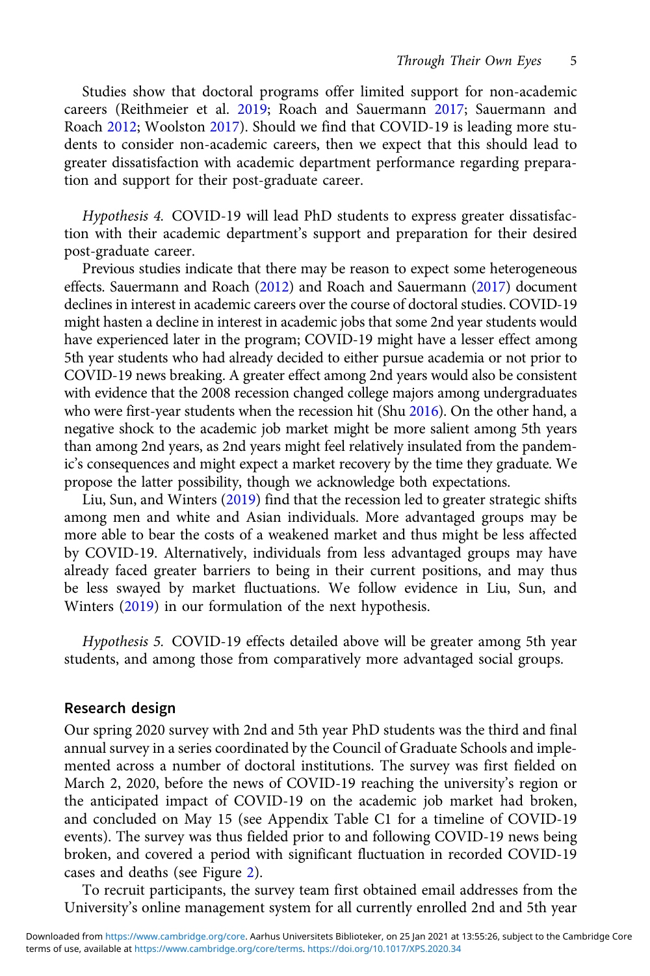Studies show that doctoral programs offer limited support for non-academic careers (Reithmeier et al. [2019](#page-19-0); Roach and Sauermann [2017;](#page-19-0) Sauermann and Roach [2012;](#page-19-0) Woolston [2017\)](#page-20-0). Should we find that COVID-19 is leading more students to consider non-academic careers, then we expect that this should lead to greater dissatisfaction with academic department performance regarding preparation and support for their post-graduate career.

Hypothesis 4. COVID-19 will lead PhD students to express greater dissatisfaction with their academic department's support and preparation for their desired post-graduate career.

Previous studies indicate that there may be reason to expect some heterogeneous effects. Sauermann and Roach [\(2012](#page-19-0)) and Roach and Sauermann ([2017](#page-19-0)) document declines in interest in academic careers over the course of doctoral studies. COVID-19 might hasten a decline in interest in academic jobs that some 2nd year students would have experienced later in the program; COVID-19 might have a lesser effect among 5th year students who had already decided to either pursue academia or not prior to COVID-19 news breaking. A greater effect among 2nd years would also be consistent with evidence that the 2008 recession changed college majors among undergraduates who were first-year students when the recession hit (Shu [2016\)](#page-19-0). On the other hand, a negative shock to the academic job market might be more salient among 5th years than among 2nd years, as 2nd years might feel relatively insulated from the pandemic's consequences and might expect a market recovery by the time they graduate. We propose the latter possibility, though we acknowledge both expectations.

Liu, Sun, and Winters ([2019\)](#page-19-0) find that the recession led to greater strategic shifts among men and white and Asian individuals. More advantaged groups may be more able to bear the costs of a weakened market and thus might be less affected by COVID-19. Alternatively, individuals from less advantaged groups may have already faced greater barriers to being in their current positions, and may thus be less swayed by market fluctuations. We follow evidence in Liu, Sun, and Winters [\(2019](#page-19-0)) in our formulation of the next hypothesis.

Hypothesis 5. COVID-19 effects detailed above will be greater among 5th year students, and among those from comparatively more advantaged social groups.

## Research design

Our spring 2020 survey with 2nd and 5th year PhD students was the third and final annual survey in a series coordinated by the Council of Graduate Schools and implemented across a number of doctoral institutions. The survey was first fielded on March 2, 2020, before the news of COVID-19 reaching the university's region or the anticipated impact of COVID-19 on the academic job market had broken, and concluded on May 15 (see Appendix Table C1 for a timeline of COVID-19 events). The survey was thus fielded prior to and following COVID-19 news being broken, and covered a period with significant fluctuation in recorded COVID-19 cases and deaths (see Figure [2](#page-7-0)).

To recruit participants, the survey team first obtained email addresses from the University's online management system for all currently enrolled 2nd and 5th year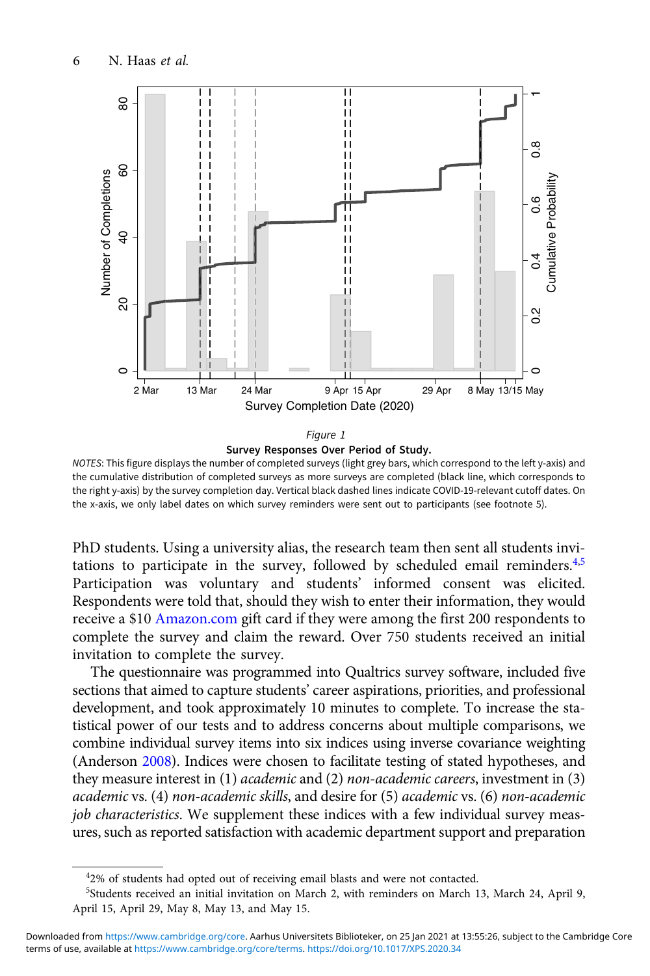<span id="page-5-0"></span>



NOTES: This figure displays the number of completed surveys (light grey bars, which correspond to the left y-axis) and the cumulative distribution of completed surveys as more surveys are completed (black line, which corresponds to the right y-axis) by the survey completion day. Vertical black dashed lines indicate COVID-19-relevant cutoff dates. On the x-axis, we only label dates on which survey reminders were sent out to participants (see footnote 5).

PhD students. Using a university alias, the research team then sent all students invitations to participate in the survey, followed by scheduled email reminders. $4,5$ Participation was voluntary and students' informed consent was elicited. Respondents were told that, should they wish to enter their information, they would receive a \$10 [Amazon.com](https://Amazon.com) gift card if they were among the first 200 respondents to complete the survey and claim the reward. Over 750 students received an initial invitation to complete the survey.

The questionnaire was programmed into Qualtrics survey software, included five sections that aimed to capture students' career aspirations, priorities, and professional development, and took approximately 10 minutes to complete. To increase the statistical power of our tests and to address concerns about multiple comparisons, we combine individual survey items into six indices using inverse covariance weighting (Anderson [2008](#page-19-0)). Indices were chosen to facilitate testing of stated hypotheses, and they measure interest in (1) academic and (2) non-academic careers, investment in (3) academic vs. (4) non-academic skills, and desire for (5) academic vs. (6) non-academic job characteristics. We supplement these indices with a few individual survey measures, such as reported satisfaction with academic department support and preparation

<sup>&</sup>lt;sup>4</sup>2% of students had opted out of receiving email blasts and were not contacted.

<sup>5</sup> Students received an initial invitation on March 2, with reminders on March 13, March 24, April 9, April 15, April 29, May 8, May 13, and May 15.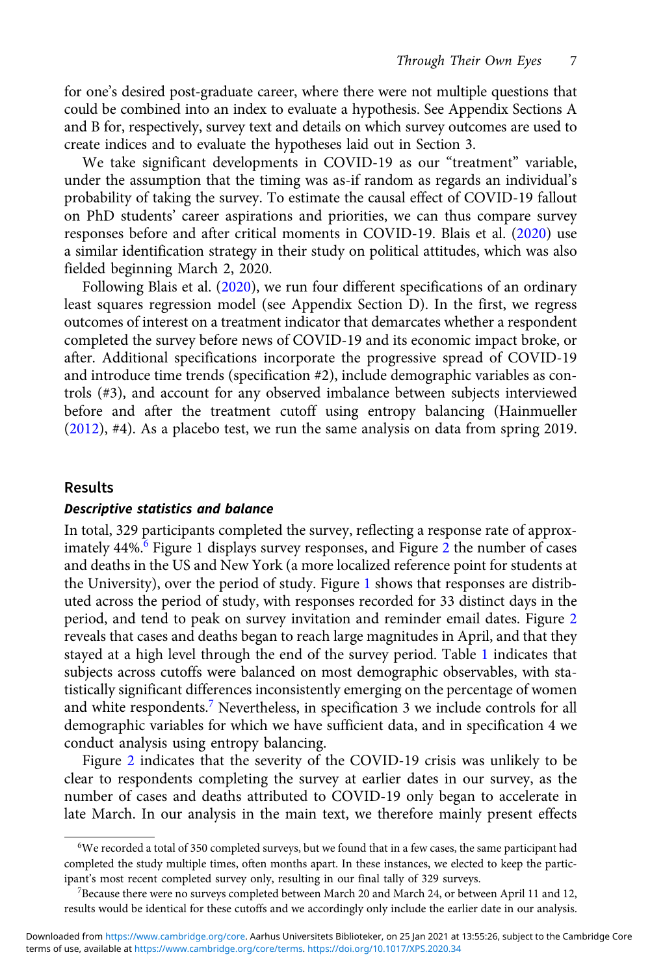for one's desired post-graduate career, where there were not multiple questions that could be combined into an index to evaluate a hypothesis. See Appendix Sections A and B for, respectively, survey text and details on which survey outcomes are used to create indices and to evaluate the hypotheses laid out in Section 3.

We take significant developments in COVID-19 as our "treatment" variable, under the assumption that the timing was as-if random as regards an individual's probability of taking the survey. To estimate the causal effect of COVID-19 fallout on PhD students' career aspirations and priorities, we can thus compare survey responses before and after critical moments in COVID-19. Blais et al. [\(2020](#page-19-0)) use a similar identification strategy in their study on political attitudes, which was also fielded beginning March 2, 2020.

Following Blais et al. ([2020](#page-19-0)), we run four different specifications of an ordinary least squares regression model (see Appendix Section D). In the first, we regress outcomes of interest on a treatment indicator that demarcates whether a respondent completed the survey before news of COVID-19 and its economic impact broke, or after. Additional specifications incorporate the progressive spread of COVID-19 and introduce time trends (specification #2), include demographic variables as controls (#3), and account for any observed imbalance between subjects interviewed before and after the treatment cutoff using entropy balancing (Hainmueller [\(2012\)](#page-19-0), #4). As a placebo test, we run the same analysis on data from spring 2019.

### Results

## Descriptive statistics and balance

In total, 329 participants completed the survey, reflecting a response rate of approx-imately 44%.<sup>6</sup> Figure 1 displays survey responses, and Figure [2](#page-7-0) the number of cases and deaths in the US and New York (a more localized reference point for students at the University), over the period of study. Figure [1](#page-5-0) shows that responses are distributed across the period of study, with responses recorded for 33 distinct days in the period, and tend to peak on survey invitation and reminder email dates. Figure [2](#page-7-0) reveals that cases and deaths began to reach large magnitudes in April, and that they stayed at a high level through the end of the survey period. Table [1](#page-8-0) indicates that subjects across cutoffs were balanced on most demographic observables, with statistically significant differences inconsistently emerging on the percentage of women and white respondents.<sup>7</sup> Nevertheless, in specification 3 we include controls for all demographic variables for which we have sufficient data, and in specification 4 we conduct analysis using entropy balancing.

Figure [2](#page-7-0) indicates that the severity of the COVID-19 crisis was unlikely to be clear to respondents completing the survey at earlier dates in our survey, as the number of cases and deaths attributed to COVID-19 only began to accelerate in late March. In our analysis in the main text, we therefore mainly present effects

 $6$ We recorded a total of 350 completed surveys, but we found that in a few cases, the same participant had completed the study multiple times, often months apart. In these instances, we elected to keep the participant's most recent completed survey only, resulting in our final tally of 329 surveys.

<sup>7</sup> Because there were no surveys completed between March 20 and March 24, or between April 11 and 12, results would be identical for these cutoffs and we accordingly only include the earlier date in our analysis.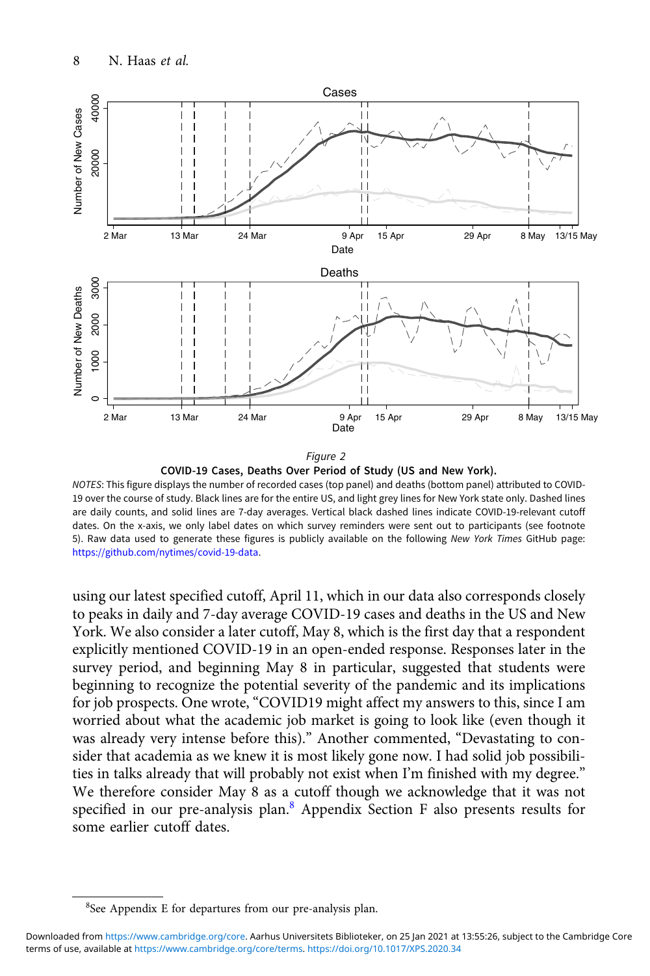<span id="page-7-0"></span>



NOTES: This figure displays the number of recorded cases (top panel) and deaths (bottom panel) attributed to COVID-19 over the course of study. Black lines are for the entire US, and light grey lines for New York state only. Dashed lines are daily counts, and solid lines are 7-day averages. Vertical black dashed lines indicate COVID-19-relevant cutoff dates. On the x-axis, we only label dates on which survey reminders were sent out to participants (see footnote 5). Raw data used to generate these figures is publicly available on the following New York Times GitHub page: <https://github.com/nytimes/covid-19-data>.

using our latest specified cutoff, April 11, which in our data also corresponds closely to peaks in daily and 7-day average COVID-19 cases and deaths in the US and New York. We also consider a later cutoff, May 8, which is the first day that a respondent explicitly mentioned COVID-19 in an open-ended response. Responses later in the survey period, and beginning May 8 in particular, suggested that students were beginning to recognize the potential severity of the pandemic and its implications for job prospects. One wrote, "COVID19 might affect my answers to this, since I am worried about what the academic job market is going to look like (even though it was already very intense before this)." Another commented, "Devastating to consider that academia as we knew it is most likely gone now. I had solid job possibilities in talks already that will probably not exist when I'm finished with my degree." We therefore consider May 8 as a cutoff though we acknowledge that it was not specified in our pre-analysis plan.<sup>8</sup> Appendix Section F also presents results for

<sup>8</sup> See Appendix E for departures from our pre-analysis plan.

terms of use, available at [https://www.cambridge.org/core/terms.](https://www.cambridge.org/core/terms) <https://doi.org/10.1017/XPS.2020.34> Downloaded from [https://www.cambridge.org/core.](https://www.cambridge.org/core) Aarhus Universitets Biblioteker, on 25 Jan 2021 at 13:55:26, subject to the Cambridge Core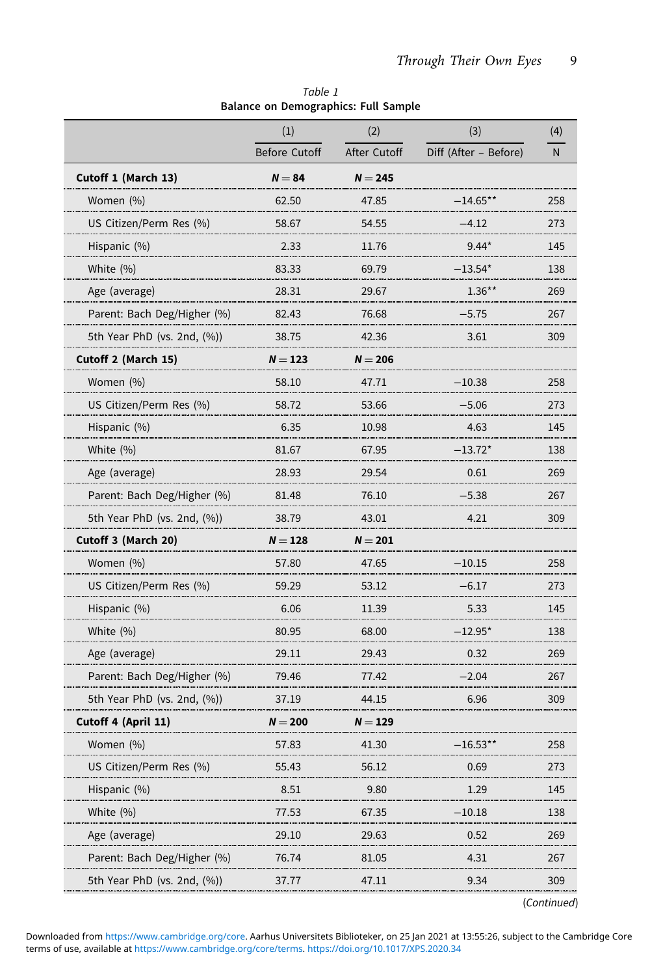Table 1 Balance on Demographics: Full Sample

<span id="page-8-0"></span>

|                                 | (1)                  | (2)          | (3)                   | (4) |
|---------------------------------|----------------------|--------------|-----------------------|-----|
|                                 | <b>Before Cutoff</b> | After Cutoff | Diff (After - Before) | N   |
| Cutoff 1 (March 13)             | $N = 84$             | $N = 245$    |                       |     |
| Women $(\%)$                    | 62.50                | 47.85        | $-14.65^{\star\star}$ | 258 |
| US Citizen/Perm Res (%)         | 58.67                | 54.55        | $-4.12$               | 273 |
| Hispanic $(\%)$                 | 2.33                 | 11.76        | $9.44*$               | 145 |
| White (%)                       | 83.33                | 69.79        | $-13.54*$             | 138 |
| Age (average)                   | 28.31                | 29.67        | $1.36***$             | 269 |
| Parent: Bach Deg/Higher (%)     | 82.43                | 76.68        | $-5.75$               | 267 |
| 5th Year PhD (vs. 2nd, (%))     | 38.75                | 42.36        | 3.61                  | 309 |
| Cutoff 2 (March 15)             | $N = 123$            | $N = 206$    |                       |     |
| Women $(\%)$                    | 58.10                | 47.71        | $-10.38$              | 258 |
| US Citizen/Perm Res (%)         | 58.72                | 53.66        | $-5.06$               | 273 |
| Hispanic (%)                    | 6.35                 | 10.98        | 4.63                  | 145 |
| White $(\% )$                   | 81.67                | 67.95        | –13.72*               | 138 |
| Age (average)                   | 28.93                | 29.54        | 0.61                  | 269 |
| Parent: Bach Deg/Higher (%)     | 81.48                | 76.10        | $-5.38$               | 267 |
| 5th Year PhD (vs. 2nd, $(\%)$ ) | 38.79                | 43.01        | 4.21                  | 309 |
| Cutoff 3 (March 20)             | $N = 128$            | $N = 201$    |                       |     |
| Women (%)                       | 57.80                | 47.65        | $-10.15\,$            | 258 |
| US Citizen/Perm Res (%)         | 59.29                | 53.12        | –6.17                 | 273 |
| Hispanic (%)                    | 6.06                 | 11.39        | 5.33                  | 145 |
| White (%)                       | 80.95                | 68.00        | $-12.95*$             | 138 |
| Age (average)                   | 29.11                | 29.43        | 0.32                  | 269 |
| Parent: Bach Deg/Higher (%)     | 79.46                | 77.42        | $-2.04$               | 267 |
| 5th Year PhD (vs. 2nd, (%))     | 37.19                | 44.15        | 6.96                  | 309 |
| Cutoff 4 (April 11)             | $N = 200$            | $N=129$      |                       |     |
| Women (%)                       | 57.83                | 41.30        | $-16.53**$            | 258 |
| US Citizen/Perm Res (%)         | 55.43                | 56.12        | 0.69                  | 273 |
| Hispanic (%)                    | 8.51                 | 9.80         | 1.29                  | 145 |
| White (%)                       | 77.53                | 67.35        | $-10.18$              | 138 |
| Age (average)                   | 29.10                | 29.63        | 0.52                  | 269 |
| Parent: Bach Deg/Higher (%)     | 76.74                | 81.05        | 4.31                  | 267 |
| 5th Year PhD (vs. 2nd, $(\%)$ ) | 37.77                | 47.11        | 9.34                  | 309 |
|                                 |                      |              |                       |     |

(Continued)

terms of use, available at [https://www.cambridge.org/core/terms.](https://www.cambridge.org/core/terms) <https://doi.org/10.1017/XPS.2020.34> Downloaded from [https://www.cambridge.org/core.](https://www.cambridge.org/core) Aarhus Universitets Biblioteker, on 25 Jan 2021 at 13:55:26, subject to the Cambridge Core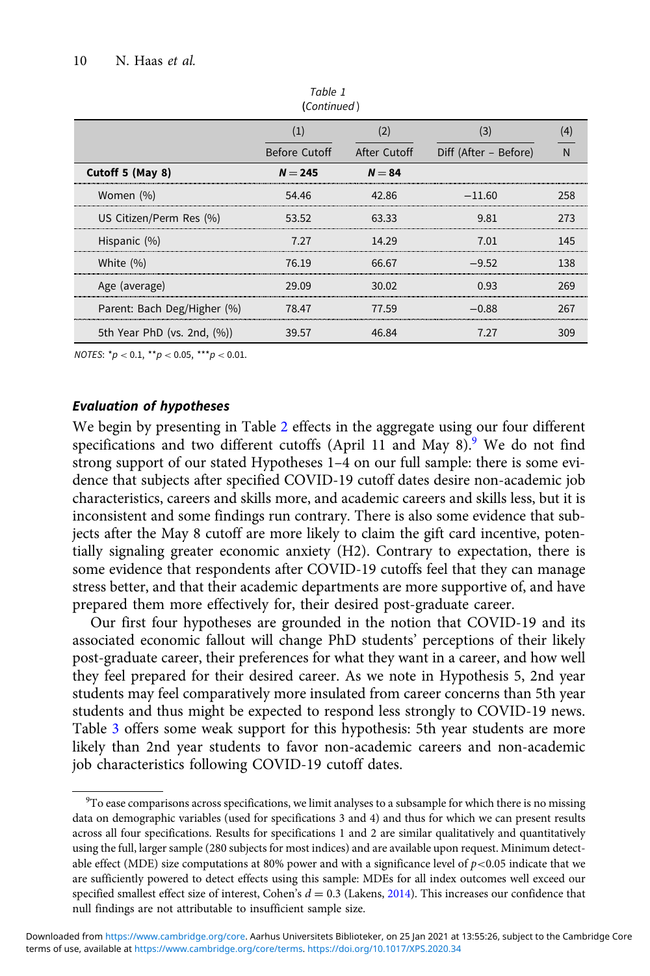|                             | (Commed)      |              |                       |     |
|-----------------------------|---------------|--------------|-----------------------|-----|
|                             |               |              |                       |     |
|                             | Before Cutoff | After Cutoff | Diff (After - Before) |     |
| Cutoff 5 (May 8)            | $N = 245$     | $N = 84$     |                       |     |
| Women (%)                   | 54.46         | 42.86        | $-11.60$              | 258 |
| US Citizen/Perm Res (%)     | 53.52         | 63.33        | 9.81                  | 273 |
| Hispanic $(\%)$             | 7 27          | 14.29        | 7 N 1                 | 145 |
| White (%)                   | 76.19         | 66.67        | $-9.52$               | 138 |
| Age (average)               | 29.09         | 30.02        | በ ዓ3                  |     |
| Parent: Bach Deg/Higher (%) | 78.47         | 77.59        | $-0.88$               |     |
| 5th Year PhD (vs. 2nd, (%)) | 39.57         |              |                       |     |

Table 1  $\sqrt{C}$   $\sqrt{C}$ 

NOTES:  $^{\star}p < 0.1$ ,  $^{\star\star}p < 0.05$ ,  $^{\star\star\star}p < 0.01$ .

#### Evaluation of hypotheses

We begin by presenting in Table [2](#page-10-0) effects in the aggregate using our four different specifications and two different cutoffs (April 11 and May 8).<sup>9</sup> We do not find strong support of our stated Hypotheses 1–4 on our full sample: there is some evidence that subjects after specified COVID-19 cutoff dates desire non-academic job characteristics, careers and skills more, and academic careers and skills less, but it is inconsistent and some findings run contrary. There is also some evidence that subjects after the May 8 cutoff are more likely to claim the gift card incentive, potentially signaling greater economic anxiety (H2). Contrary to expectation, there is some evidence that respondents after COVID-19 cutoffs feel that they can manage stress better, and that their academic departments are more supportive of, and have prepared them more effectively for, their desired post-graduate career.

Our first four hypotheses are grounded in the notion that COVID-19 and its associated economic fallout will change PhD students' perceptions of their likely post-graduate career, their preferences for what they want in a career, and how well they feel prepared for their desired career. As we note in Hypothesis 5, 2nd year students may feel comparatively more insulated from career concerns than 5th year students and thus might be expected to respond less strongly to COVID-19 news. Table [3](#page-13-0) offers some weak support for this hypothesis: 5th year students are more likely than 2nd year students to favor non-academic careers and non-academic job characteristics following COVID-19 cutoff dates.

 $^{9}$ To ease comparisons across specifications, we limit analyses to a subsample for which there is no missing data on demographic variables (used for specifications 3 and 4) and thus for which we can present results across all four specifications. Results for specifications 1 and 2 are similar qualitatively and quantitatively using the full, larger sample (280 subjects for most indices) and are available upon request. Minimum detectable effect (MDE) size computations at 80% power and with a significance level of  $p$  <0.05 indicate that we are sufficiently powered to detect effects using this sample: MDEs for all index outcomes well exceed our specified smallest effect size of interest, Cohen's  $d = 0.3$  (Lakens, [2014](#page-19-0)). This increases our confidence that null findings are not attributable to insufficient sample size.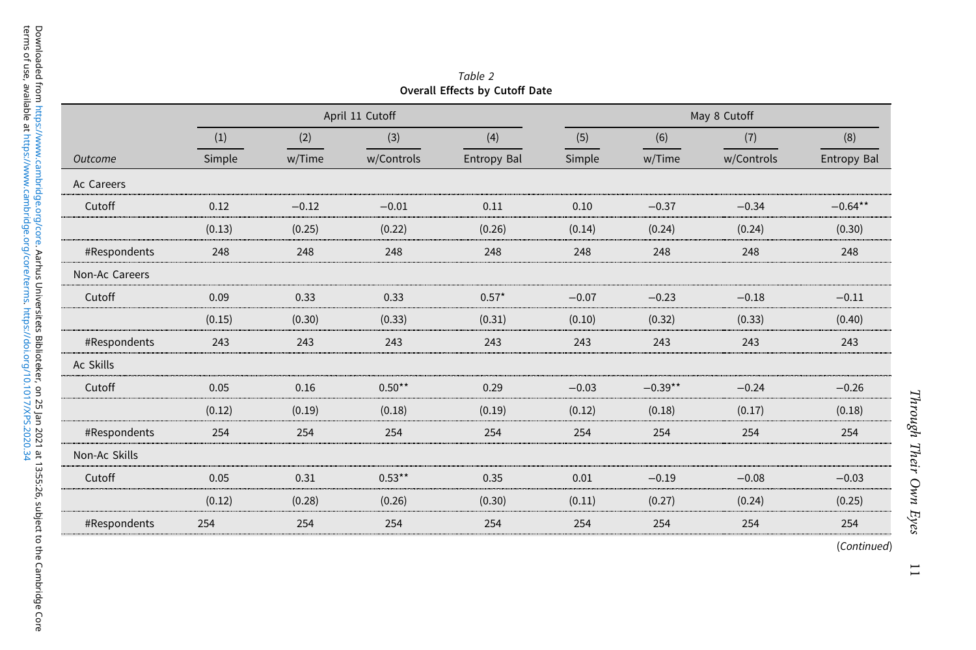<span id="page-10-0"></span>

|                |        |         |                 | Overall Effects by Cutoff Date |         |           |            |             |
|----------------|--------|---------|-----------------|--------------------------------|---------|-----------|------------|-------------|
|                |        |         | April 11 Cutoff | May 8 Cutoff                   |         |           |            |             |
|                | (1)    | (2)     | (3)             | (4)                            | (5)     | (6)       | (7)        | (8)         |
| Outcome        | Simple | w/Time  | w/Controls      | <b>Entropy Bal</b>             | Simple  | w/Time    | w/Controls | Entropy Bal |
| Ac Careers     |        |         |                 |                                |         |           |            |             |
| Cutoff         | 0.12   | $-0.12$ | $-0.01$         | 0.11                           | 0.10    | $-0.37$   | $-0.34$    | $-0.64***$  |
|                | (0.13) | (0.25)  | (0.22)          | (0.26)                         | (0.14)  | (0.24)    | (0.24)     | (0.30)      |
| #Respondents   | 248    | 248     | 248             | 248                            | 248     | 248       | 248        | 248         |
| Non-Ac Careers |        |         |                 |                                |         |           |            |             |
| Cutoff         | 0.09   | 0.33    | 0.33            | $0.57*$                        | $-0.07$ | $-0.23$   | $-0.18$    | $-0.11$     |
|                | (0.15) | (0.30)  | (0.33)          | (0.31)                         | (0.10)  | (0.32)    | (0.33)     | (0.40)      |
| #Respondents   | 243    | 243     | 243             | 243                            | 243     | 243       | 243        | 243         |
| Ac Skills      |        |         |                 |                                |         |           |            |             |
| Cutoff         | 0.05   | 0.16    | $0.50**$        | 0.29                           | $-0.03$ | $-0.39**$ | $-0.24$    | $-0.26$     |
|                | (0.12) | (0.19)  | (0.18)          | (0.19)                         | (0.12)  | (0.18)    | (0.17)     | (0.18)      |
| #Respondents   | 254    | 254     | 254             | 254                            | 254     | 254       | 254        | 254         |
| Non-Ac Skills  |        |         |                 |                                |         |           |            |             |
| Cutoff         | 0.05   | 0.31    | $0.53***$       | 0.35                           | 0.01    | $-0.19$   | $-0.08$    | $-0.03$     |
|                | (0.12) | (0.28)  | (0.26)          | (0.30)                         | (0.11)  | (0.27)    | (0.24)     | (0.25)      |
| #Respondents   | 254    | 254     | 254             | 254                            | 254     | 254       | 254        | 254         |
|                |        |         |                 |                                |         |           |            | (Continued) |

Table 2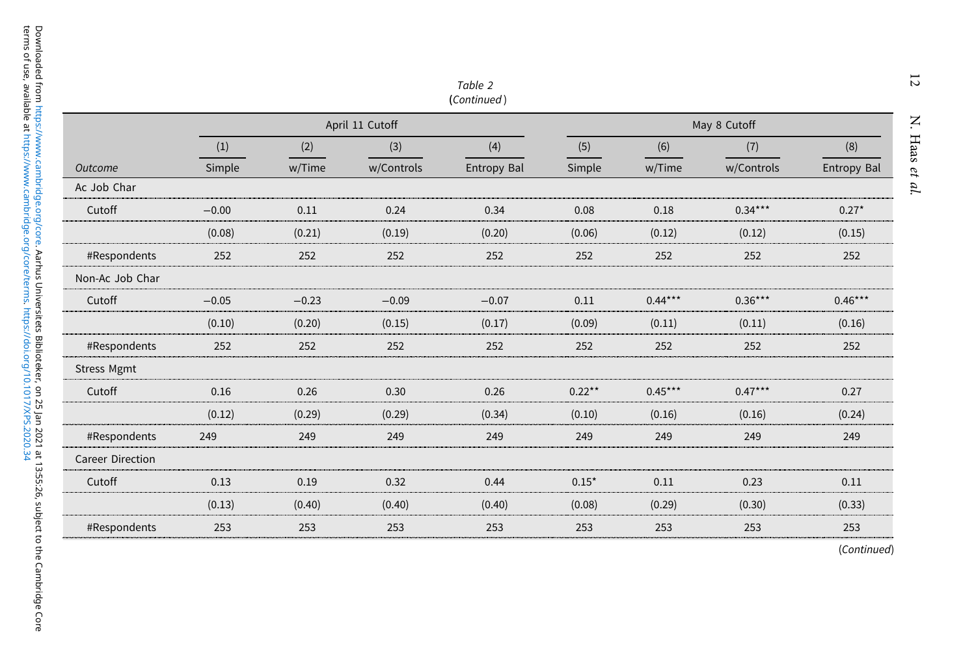|         |         |            | (Continued)        |              |           |            |             |
|---------|---------|------------|--------------------|--------------|-----------|------------|-------------|
|         |         |            |                    | May 8 Cutoff |           |            |             |
| (1)     | (2)     | (3)        | (4)                | (5)          | (6)       | (7)        | (8)         |
| Simple  | w/Time  | w/Controls | <b>Entropy Bal</b> | Simple       | w/Time    | w/Controls | Entropy Bal |
|         |         |            |                    |              |           |            |             |
| $-0.00$ | 0.11    | 0.24       | 0.34               | 0.08         | 0.18      | $0.34***$  | $0.27*$     |
| (0.08)  | (0.21)  | (0.19)     | (0.20)             | (0.06)       | (0.12)    | (0.12)     | (0.15)      |
| 252     | 252     | 252        | 252                | 252          | 252       | 252        | 252         |
|         |         |            |                    |              |           |            |             |
| $-0.05$ | $-0.23$ | $-0.09$    | $-0.07$            | 0.11         | $0.44***$ | $0.36***$  | $0.46***$   |
| (0.10)  | (0.20)  | (0.15)     | (0.17)             | (0.09)       | (0.11)    | (0.11)     | (0.16)      |
| 252     | 252     | 252        | 252                | 252          | 252       | 252        | 252         |
|         |         |            |                    |              |           |            |             |
| 0.16    | 0.26    | 0.30       | 0.26               | $0.22***$    | $0.45***$ | $0.47***$  | 0.27        |
| (0.12)  | (0.29)  | (0.29)     | (0.34)             | (0.10)       | (0.16)    | (0.16)     | (0.24)      |
| 249     | 249     | 249        | 249                | 249          | 249       | 249        | 249         |
|         |         |            |                    |              |           |            |             |
| 0.13    | 0.19    | 0.32       | 0.44               | $0.15*$      | 0.11      | 0.23       | 0.11        |
| (0.13)  | (0.40)  | (0.40)     | (0.40)             | (0.08)       | (0.29)    | (0.30)     | (0.33)      |
| 253     | 253     | 253        | 253                | 253          | 253       | 253        | 253         |
|         |         |            | April 11 Cutoff    |              |           |            |             |

Table 2

(Continued)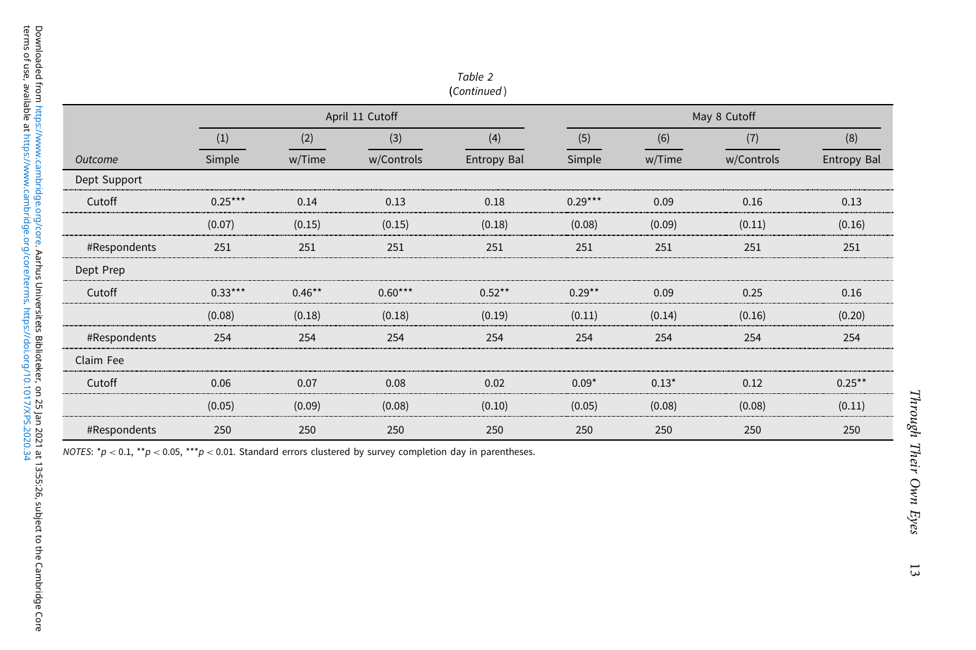|              |           |           |                 | Table 2<br>(Continued) |           |         |              |                    |
|--------------|-----------|-----------|-----------------|------------------------|-----------|---------|--------------|--------------------|
|              |           |           | April 11 Cutoff |                        |           |         | May 8 Cutoff |                    |
|              | (1)       | (2)       | (3)             | (4)                    | (5)       | (6)     | (7)          | (8)                |
| Outcome      | Simple    | w/Time    | w/Controls      | Entropy Bal            | Simple    | w/Time  | w/Controls   | <b>Entropy Bal</b> |
| Dept Support |           |           |                 |                        |           |         |              |                    |
| Cutoff       | $0.25***$ | 0.14      | 0.13            | 0.18                   | $0.29***$ | 0.09    | 0.16         | 0.13               |
|              | (0.07)    | (0.15)    | (0.15)          | (0.18)                 | (0.08)    | (0.09)  | (0.11)       | (0.16)             |
| #Respondents | 251       | 251       | 251             | 251                    | 251       | 251     | 251          | 251                |
| Dept Prep    |           |           |                 |                        |           |         |              |                    |
| Cutoff       | $0.33***$ | $0.46***$ | $0.60***$       | $0.52***$              | $0.29***$ | 0.09    | 0.25         | 0.16               |
|              | (0.08)    | (0.18)    | (0.18)          | (0.19)                 | (0.11)    | (0.14)  | (0.16)       | (0.20)             |
| #Respondents | 254       | 254       | 254             | 254                    | 254       | 254     | 254          | 254                |
| Claim Fee    |           |           |                 |                        |           |         |              |                    |
| Cutoff       | 0.06      | 0.07      | 0.08            | 0.02                   | $0.09*$   | $0.13*$ | 0.12         | $0.25***$          |
|              | (0.05)    | (0.09)    | (0.08)          | (0.10)                 | (0.05)    | (0.08)  | (0.08)       | (0.11)             |
| #Respondents | 250       | 250       | 250             | 250                    | 250       | 250     | 250          | 250                |

NOTES:  $*p < 0.1$ ,  $**p < 0.05$ ,  $***p < 0.01$ . Standard errors clustered by survey completion day in parentheses.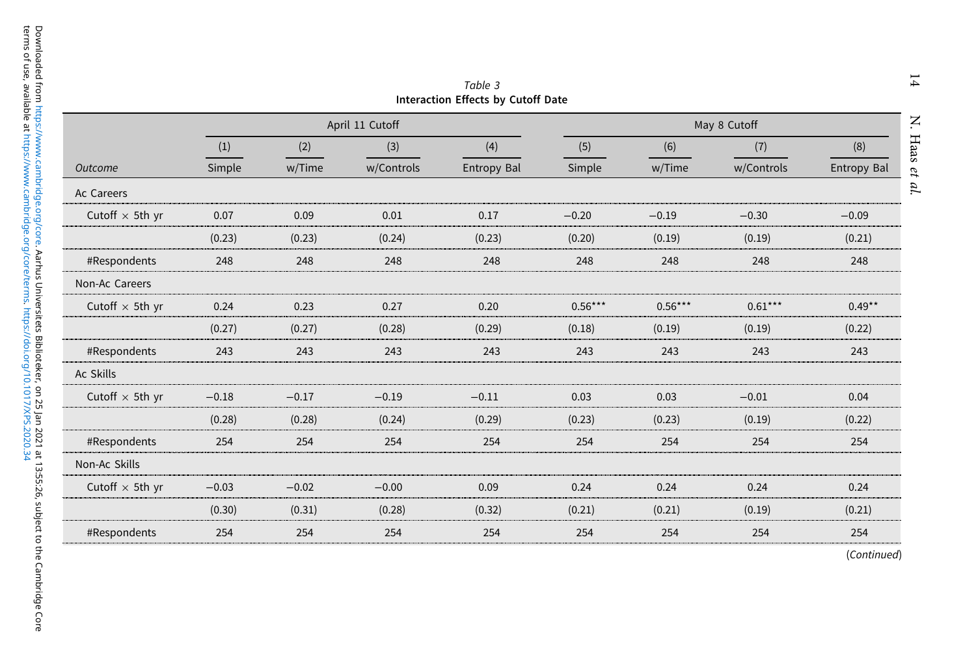<span id="page-13-0"></span>

| terms of use, available at https://www.cambridge.org/core/terms. https://doi.org/10.1017/XPS.2020.34<br>Downloaded from https://www.cambridge.org/core. Aarhus Universitets Biblioteker, on 25 Jan 2021 at 13:55:26, subject to the Cambridge Core |                                |                 |  |
|----------------------------------------------------------------------------------------------------------------------------------------------------------------------------------------------------------------------------------------------------|--------------------------------|-----------------|--|
|                                                                                                                                                                                                                                                    |                                |                 |  |
|                                                                                                                                                                                                                                                    |                                | (1)             |  |
|                                                                                                                                                                                                                                                    | Outcome                        | Simple          |  |
|                                                                                                                                                                                                                                                    | Ac Careers                     |                 |  |
|                                                                                                                                                                                                                                                    | Cutoff $\times$ 5th yr 0.07    |                 |  |
|                                                                                                                                                                                                                                                    | (0.23)                         |                 |  |
|                                                                                                                                                                                                                                                    | #Respondents 248               |                 |  |
|                                                                                                                                                                                                                                                    | Non-Ac Careers                 |                 |  |
|                                                                                                                                                                                                                                                    | Cutoff $\times$ 5th yr 0.24    |                 |  |
|                                                                                                                                                                                                                                                    | (0.27)                         |                 |  |
|                                                                                                                                                                                                                                                    | #Respondents                   | ents 243        |  |
|                                                                                                                                                                                                                                                    | Ac Skills                      |                 |  |
|                                                                                                                                                                                                                                                    | Cutoff $\times$ 5th yr $-0.18$ |                 |  |
|                                                                                                                                                                                                                                                    | (0.28)                         |                 |  |
|                                                                                                                                                                                                                                                    | #Respondents 254               |                 |  |
|                                                                                                                                                                                                                                                    | Non-Ac Skills                  |                 |  |
|                                                                                                                                                                                                                                                    | Cutoff $\times$ 5th yr $-0.03$ |                 |  |
|                                                                                                                                                                                                                                                    | (0.30)                         |                 |  |
|                                                                                                                                                                                                                                                    | #Respondents                   | $\frac{1}{254}$ |  |
|                                                                                                                                                                                                                                                    |                                |                 |  |
|                                                                                                                                                                                                                                                    |                                |                 |  |
|                                                                                                                                                                                                                                                    |                                |                 |  |
|                                                                                                                                                                                                                                                    |                                |                 |  |

*Table 3*<br>Interaction Effects by Cutoff Date

|                        |         |         | April 11 Cutoff |                    | May 8 Cutoff |           |            |             |
|------------------------|---------|---------|-----------------|--------------------|--------------|-----------|------------|-------------|
|                        | (1)     | (2)     | (3)             | (4)                | (5)          | (6)       | (7)        | (8)         |
| <b>tcome</b>           | Simple  | w/Time  | w/Controls      | <b>Entropy Bal</b> | Simple       | w/Time    | w/Controls | Entropy Bal |
| Careers                |         |         |                 |                    |              |           |            |             |
| Cutoff $\times$ 5th yr | 0.07    | 0.09    | 0.01            | 0.17               | $-0.20$      | $-0.19$   | $-0.30$    | $-0.09$     |
|                        | (0.23)  | (0.23)  | (0.24)          | (0.23)             | (0.20)       | (0.19)    | (0.19)     | (0.21)      |
| #Respondents           | 248     | 248     | 248             | 248                | 248          | 248       | 248        | 248         |
| n-Ac Careers           |         |         |                 |                    |              |           |            |             |
| Cutoff $\times$ 5th yr | 0.24    | 0.23    | 0.27            | 0.20               | $0.56***$    | $0.56***$ | $0.61***$  | $0.49**$    |
|                        | (0.27)  | (0.27)  | (0.28)          | (0.29)             | (0.18)       | (0.19)    | (0.19)     | (0.22)      |
| #Respondents           | 243     | 243     | 243             | 243                | 243          | 243       | 243        | 243         |
| <b>Skills</b>          |         |         |                 |                    |              |           |            |             |
| Cutoff $\times$ 5th yr | $-0.18$ | $-0.17$ | $-0.19$         | $-0.11$            | 0.03         | 0.03      | $-0.01$    | 0.04        |
|                        | (0.28)  | (0.28)  | (0.24)          | (0.29)             | (0.23)       | (0.23)    | (0.19)     | (0.22)      |
| #Respondents           | 254     | 254     | 254             | 254                | 254          | 254       | 254        | 254         |
| n-Ac Skills            |         |         |                 |                    |              |           |            |             |
| Cutoff $\times$ 5th yr | $-0.03$ | $-0.02$ | $-0.00$         | 0.09               | 0.24         | 0.24      | 0.24       | 0.24        |
|                        | (0.30)  | (0.31)  | (0.28)          | (0.32)             | (0.21)       | (0.21)    | (0.19)     | (0.21)      |
| #Respondents           | 254     | 254     | 254             | 254                | 254          | 254       | 254        | 254         |
|                        |         |         |                 |                    |              |           |            | (Continued) |

 $14\,$ 

(Continued)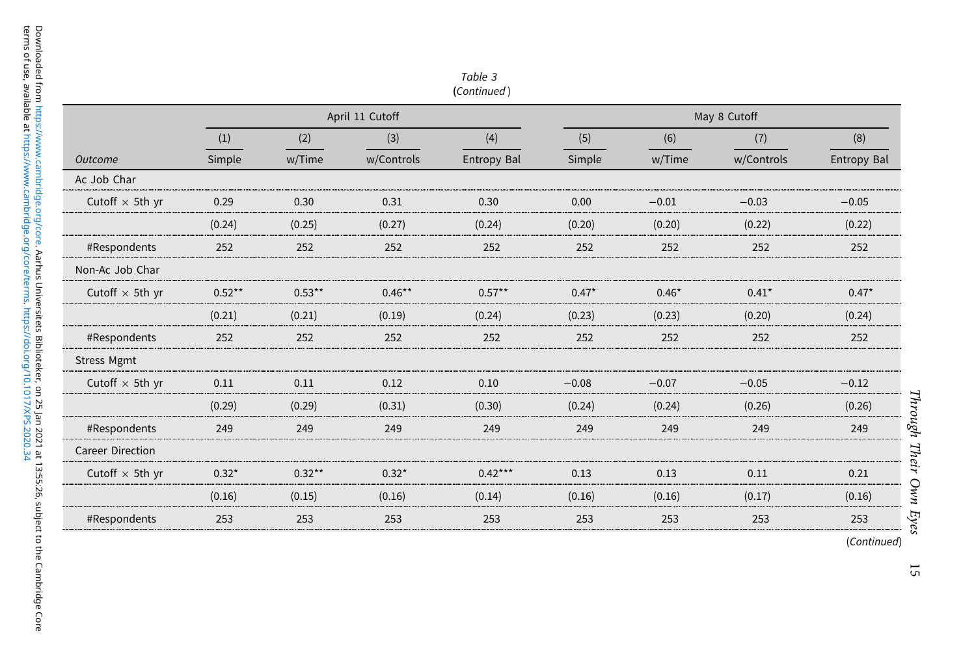|                         |           |           |                 | Table 3<br>(Continued) |         |              |            |                   |
|-------------------------|-----------|-----------|-----------------|------------------------|---------|--------------|------------|-------------------|
|                         |           |           | April 11 Cutoff |                        |         | May 8 Cutoff |            |                   |
|                         | (1)       | (2)       | (3)             | (4)                    | (5)     | (6)          | (7)        | (8)               |
| Outcome                 | Simple    | w/Time    | w/Controls      | Entropy Bal            | Simple  | w/Time       | w/Controls | Entropy Bal       |
| Ac Job Char             |           |           |                 |                        |         |              |            |                   |
| Cutoff $\times$ 5th yr  | 0.29      | 0.30      | 0.31            | 0.30                   | 0.00    | $-0.01$      | $-0.03$    | $-0.05$           |
|                         | (0.24)    | (0.25)    | (0.27)          | (0.24)                 | (0.20)  | (0.20)       | (0.22)     | (0.22)            |
| #Respondents            | 252       | 252       | 252             | 252                    | 252     | 252          | 252        | 252               |
| Non-Ac Job Char         |           |           |                 |                        |         |              |            |                   |
| Cutoff $\times$ 5th yr  | $0.52***$ | $0.53***$ | $0.46***$       | $0.57***$              | $0.47*$ | $0.46*$      | $0.41*$    | $0.47*$           |
|                         | (0.21)    | (0.21)    | (0.19)          | (0.24)                 | (0.23)  | (0.23)       | (0.20)     | (0.24)            |
| #Respondents            | 252       | 252       | 252             | 252                    | 252     | 252          | 252        | 252               |
| <b>Stress Mgmt</b>      |           |           |                 |                        |         |              |            |                   |
| Cutoff $\times$ 5th yr  | 0.11      | 0.11      | 0.12            | 0.10                   | $-0.08$ | $-0.07$      | $-0.05$    | $-0.12$           |
|                         | (0.29)    | (0.29)    | (0.31)          | (0.30)                 | (0.24)  | (0.24)       | (0.26)     | Through<br>(0.26) |
| #Respondents            | 249       | 249       | 249             | 249                    | 249     | 249          | 249        | 249               |
| <b>Career Direction</b> |           |           |                 |                        |         |              |            | Their             |
| Cutoff $\times$ 5th yr  | $0.32*$   | $0.32***$ | $0.32*$         | $0.42***$              | 0.13    | 0.13         | 0.11       | 0.21              |
|                         | (0.16)    | (0.15)    | (0.16)          | (0.14)                 | (0.16)  | (0.16)       | (0.17)     | 0wn<br>(0.16)     |
| #Respondents            | 253       | 253       | 253             | 253                    | 253     | 253          | 253        | Eyes<br>253       |
|                         |           |           |                 |                        |         |              |            | (Continued)       |

15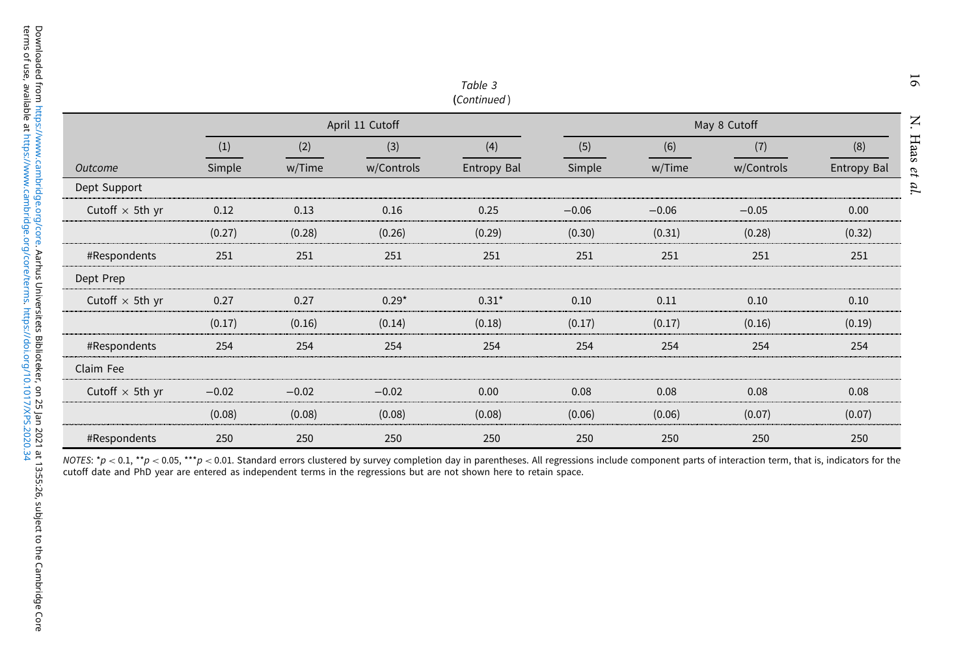|         | Outcome<br>Dept Supp<br>Cutoff ><br>#Respor<br>Dept Prep |
|---------|----------------------------------------------------------|
|         | Cutoff<br>#Respor<br>Claim Fee<br>Cutoff<br>#Respor      |
| rie Car | NOTES: $\sp{\star} p < 0$ .<br>cutoff date an            |

|                        |         |         | April 11 Cutoff |                    |         | May 8 Cutoff |            |             |  |
|------------------------|---------|---------|-----------------|--------------------|---------|--------------|------------|-------------|--|
|                        | (1)     | (2)     | (3)             | (4)                | (5)     | (6)          | (7)        | (8)         |  |
| Outcome                | Simple  | w/Time  | w/Controls      | <b>Entropy Bal</b> | Simple  | w/Time       | w/Controls | Entropy Bal |  |
| Dept Support           |         |         |                 |                    |         |              |            |             |  |
| Cutoff $\times$ 5th yr | 0.12    | 0.13    | 0.16            | 0.25               | $-0.06$ | $-0.06$      | $-0.05$    | 0.00        |  |
|                        | (0.27)  | (0.28)  | (0.26)          | (0.29)             | (0.30)  | (0.31)       | (0.28)     | (0.32)      |  |
| #Respondents           | 251     | 251     | 251             | 251                | 251     | 251          | 251        | 251         |  |
| Dept Prep              |         |         |                 |                    |         |              |            |             |  |
| Cutoff $\times$ 5th yr | 0.27    | 0.27    | $0.29*$         | $0.31*$            | 0.10    | 0.11         | 0.10       | 0.10        |  |
|                        | (0.17)  | (0.16)  | (0.14)          | (0.18)             | (0.17)  | (0.17)       | (0.16)     | (0.19)      |  |
| #Respondents           | 254     | 254     | 254             | 254                | 254     | 254          | 254        | 254         |  |
| Claim Fee              |         |         |                 |                    |         |              |            |             |  |
| Cutoff $\times$ 5th yr | $-0.02$ | $-0.02$ | $-0.02$         | 0.00               | 0.08    | 0.08         | 0.08       | 0.08        |  |
|                        | (0.08)  | (0.08)  | (0.08)          | (0.08)             | (0.06)  | (0.06)       | (0.07)     | (0.07)      |  |
| #Respondents           | 250     | 250     | 250             | 250                | 250     | 250          | 250        | 250         |  |

NOTES: \*p < 0.1, \*\*p < 0.05, \*\*\*p < 0.01. Standard errors clustered by survey completion day in parentheses. All regressions include component parts of interaction term, that is, indicators for the<br>cutoff date and PhD year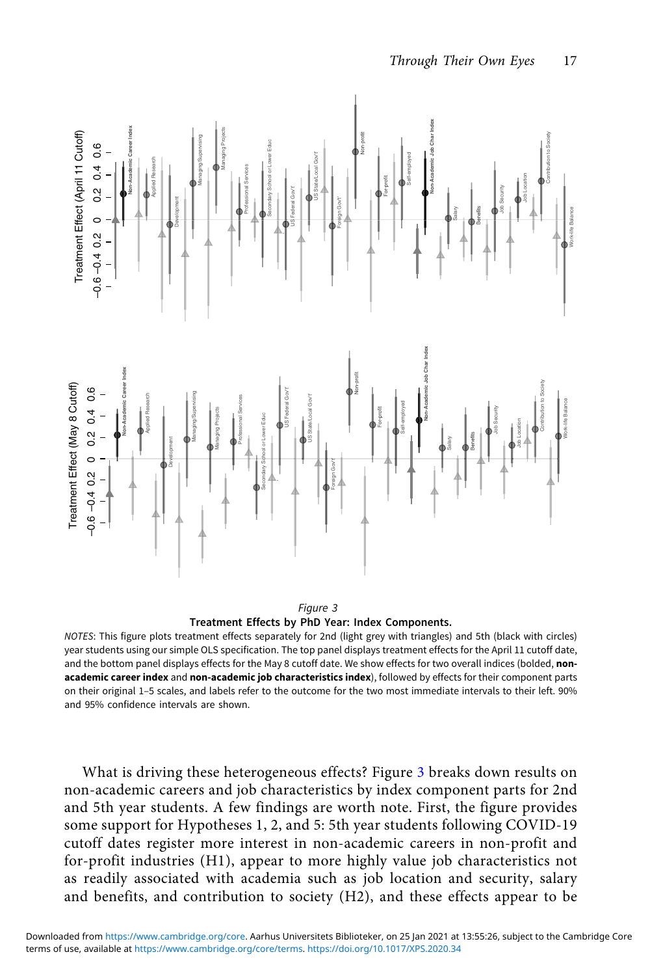

Treatment Effects by PhD Year: Index Components.

NOTES: This figure plots treatment effects separately for 2nd (light grey with triangles) and 5th (black with circles) year students using our simple OLS specification. The top panel displays treatment effects for the April 11 cutoff date, and the bottom panel displays effects for the May 8 cutoff date. We show effects for two overall indices (bolded, nonacademic career index and non-academic job characteristics index), followed by effects for their component parts on their original 1–5 scales, and labels refer to the outcome for the two most immediate intervals to their left. 90% and 95% confidence intervals are shown.

What is driving these heterogeneous effects? Figure 3 breaks down results on non-academic careers and job characteristics by index component parts for 2nd and 5th year students. A few findings are worth note. First, the figure provides some support for Hypotheses 1, 2, and 5: 5th year students following COVID-19 cutoff dates register more interest in non-academic careers in non-profit and for-profit industries (H1), appear to more highly value job characteristics not as readily associated with academia such as job location and security, salary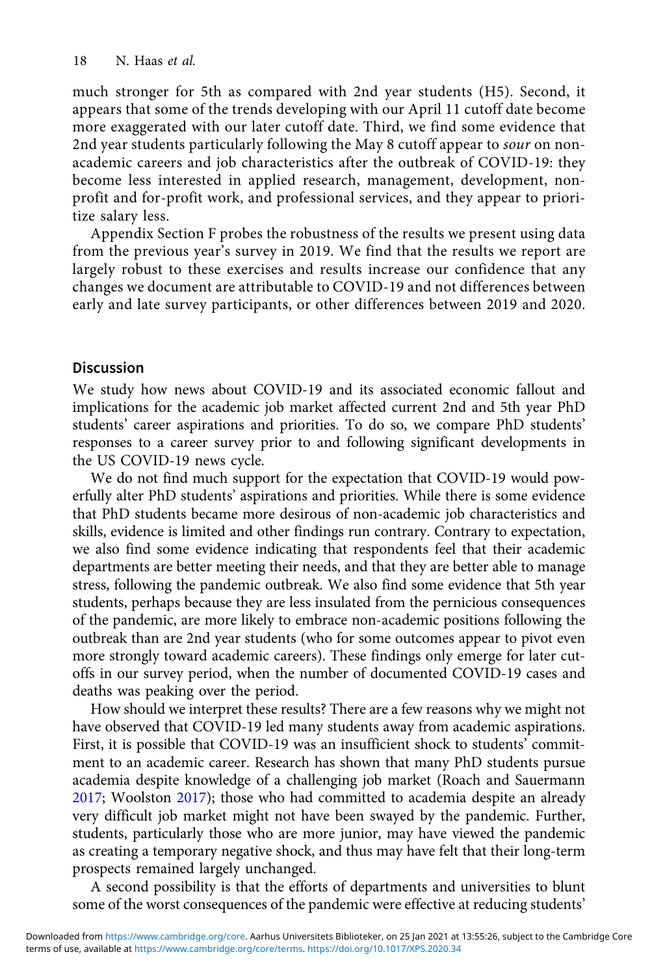much stronger for 5th as compared with 2nd year students (H5). Second, it appears that some of the trends developing with our April 11 cutoff date become more exaggerated with our later cutoff date. Third, we find some evidence that 2nd year students particularly following the May 8 cutoff appear to sour on nonacademic careers and job characteristics after the outbreak of COVID-19: they become less interested in applied research, management, development, nonprofit and for-profit work, and professional services, and they appear to prioritize salary less.

Appendix Section F probes the robustness of the results we present using data from the previous year's survey in 2019. We find that the results we report are largely robust to these exercises and results increase our confidence that any changes we document are attributable to COVID-19 and not differences between early and late survey participants, or other differences between 2019 and 2020.

## Discussion

We study how news about COVID-19 and its associated economic fallout and implications for the academic job market affected current 2nd and 5th year PhD students' career aspirations and priorities. To do so, we compare PhD students' responses to a career survey prior to and following significant developments in the US COVID-19 news cycle.

We do not find much support for the expectation that COVID-19 would powerfully alter PhD students' aspirations and priorities. While there is some evidence that PhD students became more desirous of non-academic job characteristics and skills, evidence is limited and other findings run contrary. Contrary to expectation, we also find some evidence indicating that respondents feel that their academic departments are better meeting their needs, and that they are better able to manage stress, following the pandemic outbreak. We also find some evidence that 5th year students, perhaps because they are less insulated from the pernicious consequences of the pandemic, are more likely to embrace non-academic positions following the outbreak than are 2nd year students (who for some outcomes appear to pivot even more strongly toward academic careers). These findings only emerge for later cutoffs in our survey period, when the number of documented COVID-19 cases and deaths was peaking over the period.

How should we interpret these results? There are a few reasons why we might not have observed that COVID-19 led many students away from academic aspirations. First, it is possible that COVID-19 was an insufficient shock to students' commitment to an academic career. Research has shown that many PhD students pursue academia despite knowledge of a challenging job market (Roach and Sauermann [2017;](#page-19-0) Woolston [2017\)](#page-20-0); those who had committed to academia despite an already very difficult job market might not have been swayed by the pandemic. Further, students, particularly those who are more junior, may have viewed the pandemic as creating a temporary negative shock, and thus may have felt that their long-term prospects remained largely unchanged.

A second possibility is that the efforts of departments and universities to blunt some of the worst consequences of the pandemic were effective at reducing students'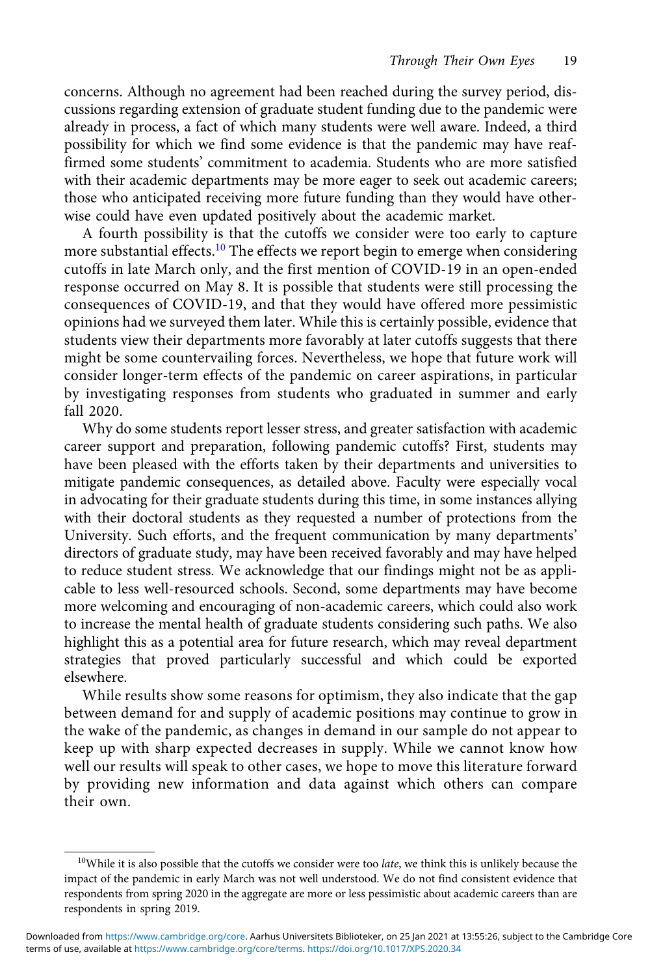concerns. Although no agreement had been reached during the survey period, discussions regarding extension of graduate student funding due to the pandemic were already in process, a fact of which many students were well aware. Indeed, a third possibility for which we find some evidence is that the pandemic may have reaffirmed some students' commitment to academia. Students who are more satisfied with their academic departments may be more eager to seek out academic careers; those who anticipated receiving more future funding than they would have otherwise could have even updated positively about the academic market.

A fourth possibility is that the cutoffs we consider were too early to capture more substantial effects.<sup>10</sup> The effects we report begin to emerge when considering cutoffs in late March only, and the first mention of COVID-19 in an open-ended response occurred on May 8. It is possible that students were still processing the consequences of COVID-19, and that they would have offered more pessimistic opinions had we surveyed them later. While this is certainly possible, evidence that students view their departments more favorably at later cutoffs suggests that there might be some countervailing forces. Nevertheless, we hope that future work will consider longer-term effects of the pandemic on career aspirations, in particular by investigating responses from students who graduated in summer and early fall 2020.

Why do some students report lesser stress, and greater satisfaction with academic career support and preparation, following pandemic cutoffs? First, students may have been pleased with the efforts taken by their departments and universities to mitigate pandemic consequences, as detailed above. Faculty were especially vocal in advocating for their graduate students during this time, in some instances allying with their doctoral students as they requested a number of protections from the University. Such efforts, and the frequent communication by many departments' directors of graduate study, may have been received favorably and may have helped to reduce student stress. We acknowledge that our findings might not be as applicable to less well-resourced schools. Second, some departments may have become more welcoming and encouraging of non-academic careers, which could also work to increase the mental health of graduate students considering such paths. We also highlight this as a potential area for future research, which may reveal department strategies that proved particularly successful and which could be exported elsewhere.

While results show some reasons for optimism, they also indicate that the gap between demand for and supply of academic positions may continue to grow in the wake of the pandemic, as changes in demand in our sample do not appear to keep up with sharp expected decreases in supply. While we cannot know how well our results will speak to other cases, we hope to move this literature forward by providing new information and data against which others can compare their own.

 $10$ While it is also possible that the cutoffs we consider were too late, we think this is unlikely because the impact of the pandemic in early March was not well understood. We do not find consistent evidence that respondents from spring 2020 in the aggregate are more or less pessimistic about academic careers than are respondents in spring 2019.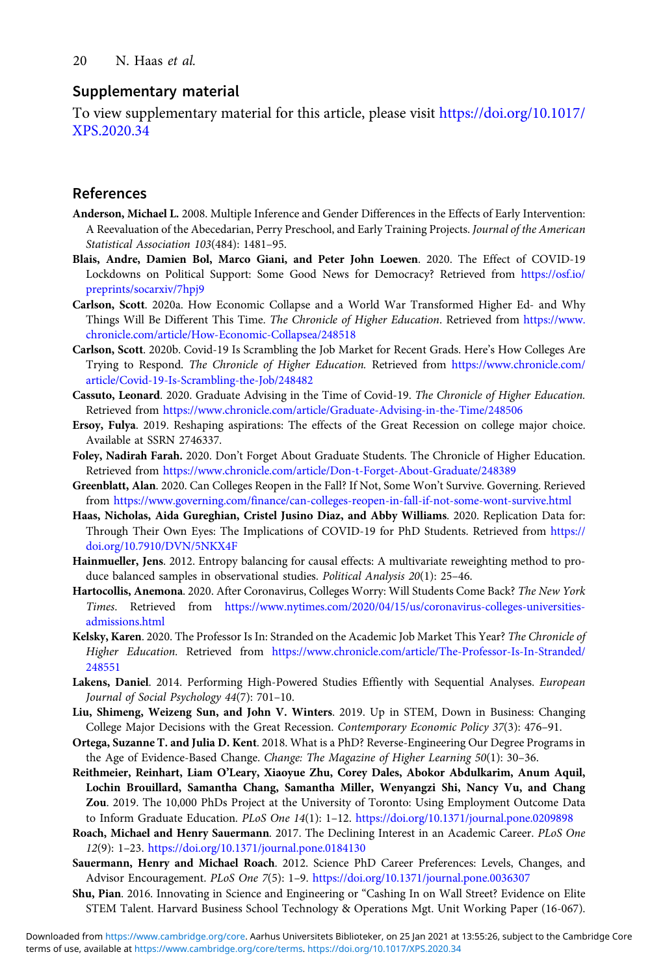## <span id="page-19-0"></span>Supplementary material

To view supplementary material for this article, please visit [https://doi.org/10.1017/](https://doi.org/10.1017/XPS.2020.34) [XPS.2020.34](https://doi.org/10.1017/XPS.2020.34)

# References

- Anderson, Michael L. 2008. Multiple Inference and Gender Differences in the Effects of Early Intervention: A Reevaluation of the Abecedarian, Perry Preschool, and Early Training Projects. Journal of the American Statistical Association 103(484): 1481–95.
- Blais, Andre, Damien Bol, Marco Giani, and Peter John Loewen. 2020. The Effect of COVID-19 Lockdowns on Political Support: Some Good News for Democracy? Retrieved from [https://osf.io/](https://osf.io/preprints/socarxiv/7hpj9) [preprints/socarxiv/7hpj9](https://osf.io/preprints/socarxiv/7hpj9)
- Carlson, Scott. 2020a. How Economic Collapse and a World War Transformed Higher Ed- and Why Things Will Be Different This Time. The Chronicle of Higher Education. Retrieved from [https://www.](https://www.chronicle.com/article/How-Economic-Collapsea/248518) [chronicle.com/article/How-Economic-Collapsea/248518](https://www.chronicle.com/article/How-Economic-Collapsea/248518)
- Carlson, Scott. 2020b. Covid-19 Is Scrambling the Job Market for Recent Grads. Here's How Colleges Are Trying to Respond. The Chronicle of Higher Education. Retrieved from [https://www.chronicle.com/](https://www.chronicle.com/article/Covid-19-Is-Scrambling-the-Job/248482) [article/Covid-19-Is-Scrambling-the-Job/248482](https://www.chronicle.com/article/Covid-19-Is-Scrambling-the-Job/248482)
- Cassuto, Leonard. 2020. Graduate Advising in the Time of Covid-19. The Chronicle of Higher Education. Retrieved from <https://www.chronicle.com/article/Graduate-Advising-in-the-Time/248506>
- Ersoy, Fulya. 2019. Reshaping aspirations: The effects of the Great Recession on college major choice. Available at SSRN 2746337.
- Foley, Nadirah Farah. 2020. Don't Forget About Graduate Students. The Chronicle of Higher Education. Retrieved from <https://www.chronicle.com/article/Don-t-Forget-About-Graduate/248389>
- Greenblatt, Alan. 2020. Can Colleges Reopen in the Fall? If Not, Some Won't Survive. Governing. Rerieved from <https://www.governing.com/finance/can-colleges-reopen-in-fall-if-not-some-wont-survive.html>
- Haas, Nicholas, Aida Gureghian, Cristel Jusino Diaz, and Abby Williams. 2020. Replication Data for: Through Their Own Eyes: The Implications of COVID-19 for PhD Students. Retrieved from [https://](https://doi.org/10.7910/DVN/5NKX4F) [doi.org/10.7910/DVN/5NKX4F](https://doi.org/10.7910/DVN/5NKX4F)
- Hainmueller, Jens. 2012. Entropy balancing for causal effects: A multivariate reweighting method to produce balanced samples in observational studies. Political Analysis 20(1): 25–46.
- Hartocollis, Anemona. 2020. After Coronavirus, Colleges Worry: Will Students Come Back? The New York Times. Retrieved from [https://www.nytimes.com/2020/04/15/us/coronavirus-colleges-universities](https://www.nytimes.com/2020/04/15/us/coronavirus-colleges-universities-admissions.html)[admissions.html](https://www.nytimes.com/2020/04/15/us/coronavirus-colleges-universities-admissions.html)
- Kelsky, Karen. 2020. The Professor Is In: Stranded on the Academic Job Market This Year? The Chronicle of Higher Education. Retrieved from [https://www.chronicle.com/article/The-Professor-Is-In-Stranded/](https://www.chronicle.com/article/The-Professor-Is-In-Stranded/248551) [248551](https://www.chronicle.com/article/The-Professor-Is-In-Stranded/248551)
- Lakens, Daniel. 2014. Performing High-Powered Studies Effiently with Sequential Analyses. European Journal of Social Psychology 44(7): 701–10.
- Liu, Shimeng, Weizeng Sun, and John V. Winters. 2019. Up in STEM, Down in Business: Changing College Major Decisions with the Great Recession. Contemporary Economic Policy 37(3): 476–91.
- Ortega, Suzanne T. and Julia D. Kent. 2018. What is a PhD? Reverse-Engineering Our Degree Programs in the Age of Evidence-Based Change. Change: The Magazine of Higher Learning 50(1): 30–36.
- Reithmeier, Reinhart, Liam O'Leary, Xiaoyue Zhu, Corey Dales, Abokor Abdulkarim, Anum Aquil, Lochin Brouillard, Samantha Chang, Samantha Miller, Wenyangzi Shi, Nancy Vu, and Chang Zou. 2019. The 10,000 PhDs Project at the University of Toronto: Using Employment Outcome Data to Inform Graduate Education. PLoS One 14(1): 1-12. <https://doi.org/10.1371/journal.pone.0209898>
- Roach, Michael and Henry Sauermann. 2017. The Declining Interest in an Academic Career. PLoS One 12(9): 1–23. <https://doi.org/10.1371/journal.pone.0184130>
- Sauermann, Henry and Michael Roach. 2012. Science PhD Career Preferences: Levels, Changes, and Advisor Encouragement. PLoS One 7(5): 1–9. <https://doi.org/10.1371/journal.pone.0036307>
- Shu, Pian. 2016. Innovating in Science and Engineering or "Cashing In on Wall Street? Evidence on Elite STEM Talent. Harvard Business School Technology & Operations Mgt. Unit Working Paper (16-067).